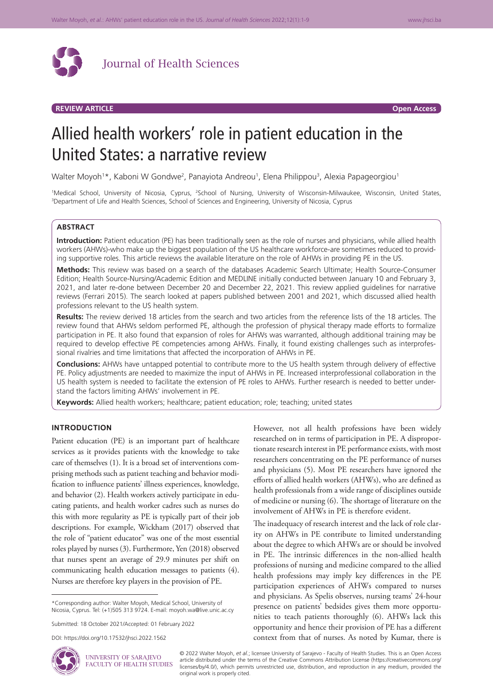

# **REVIEW ARTICLE Open Access**

# Allied health workers' role in patient education in the United States: a narrative review

Walter Moyoh<sup>1</sup>\*, Kaboni W Gondwe<sup>2</sup>, Panayiota Andreou<sup>1</sup>, Elena Philippou<sup>3</sup>, Alexia Papageorgiou<sup>1</sup>

<sup>1</sup>Medical School, University of Nicosia, Cyprus, <sup>2</sup>School of Nursing, University of Wisconsin-Milwaukee, Wisconsin, United States,<br><sup>3</sup>Denartment of Life and Health Sciences School of Sciences and Engineering University o <sup>3</sup>Department of Life and Health Sciences, School of Sciences and Engineering, University of Nicosia, Cyprus

## **ABSTRACT**

**Introduction:** Patient education (PE) has been traditionally seen as the role of nurses and physicians, while allied health workers (AHWs)-who make up the biggest population of the US healthcare workforce-are sometimes reduced to providing supportive roles. This article reviews the available literature on the role of AHWs in providing PE in the US.

**Methods:** This review was based on a search of the databases Academic Search Ultimate; Health Source-Consumer Edition; Health Source-Nursing/Academic Edition and MEDLINE initially conducted between January 10 and February 3, 2021, and later re-done between December 20 and December 22, 2021. This review applied guidelines for narrative reviews (Ferrari 2015). The search looked at papers published between 2001 and 2021, which discussed allied health professions relevant to the US health system.

**Results:** The review derived 18 articles from the search and two articles from the reference lists of the 18 articles. The review found that AHWs seldom performed PE, although the profession of physical therapy made efforts to formalize participation in PE. It also found that expansion of roles for AHWs was warranted, although additional training may be required to develop effective PE competencies among AHWs. Finally, it found existing challenges such as interprofessional rivalries and time limitations that affected the incorporation of AHWs in PE.

**Conclusions:** AHWs have untapped potential to contribute more to the US health system through delivery of effective PE. Policy adjustments are needed to maximize the input of AHWs in PE. Increased interprofessional collaboration in the US health system is needed to facilitate the extension of PE roles to AHWs. Further research is needed to better understand the factors limiting AHWs' involvement in PE.

**Keywords:** Allied health workers; healthcare; patient education; role; teaching; united states

## **INTRODUCTION**

Patient education (PE) is an important part of healthcare services as it provides patients with the knowledge to take care of themselves (1). It is a broad set of interventions comprising methods such as patient teaching and behavior modification to influence patients' illness experiences, knowledge, and behavior (2). Health workers actively participate in educating patients, and health worker cadres such as nurses do this with more regularity as PE is typically part of their job descriptions. For example, Wickham (2017) observed that the role of "patient educator" was one of the most essential roles played by nurses (3). Furthermore, Yen (2018) observed that nurses spent an average of 29.9 minutes per shift on communicating health education messages to patients (4). Nurses are therefore key players in the provision of PE.

\*Corresponding author: Walter Moyoh, Medical School, University of Nicosia, Cyprus. Tel: (+1)505 313 9724. E-mail: moyoh.wa@live.unic.ac.cy

Submitted: 18 October 2021/Accepted: 01 February 2022

UNIVERSITY OF SARAJEVO FACULTY OF HEALTH STUDIES However, not all health professions have been widely researched on in terms of participation in PE. A disproportionate research interest in PE performance exists, with most researchers concentrating on the PE performance of nurses and physicians (5). Most PE researchers have ignored the efforts of allied health workers (AHWs), who are defined as health professionals from a wide range of disciplines outside of medicine or nursing (6). The shortage of literature on the involvement of AHWs in PE is therefore evident.

The inadequacy of research interest and the lack of role clarity on AHWs in PE contribute to limited understanding about the degree to which AHWs are or should be involved in PE. The intrinsic differences in the non-allied health professions of nursing and medicine compared to the allied health professions may imply key differences in the PE participation experiences of AHWs compared to nurses and physicians. As Spelis observes, nursing teams' 24-hour presence on patients' bedsides gives them more opportunities to teach patients thoroughly (6). AHWs lack this opportunity and hence their provision of PE has a different context from that of nurses. As noted by Kumar, there is

© 2022 Walter Moyoh, *et al.*; licensee University of Sarajevo - Faculty of Health Studies. This is an Open Access article distributed under the terms of the Creative Commons Attribution License (https://creativecommons.org/ licenses/by/4.0/), which permits unrestricted use, distribution, and reproduction in any medium, provided the original work is properly cited.

DOI: https://doi.org/10.17532/jhsci.2022.1562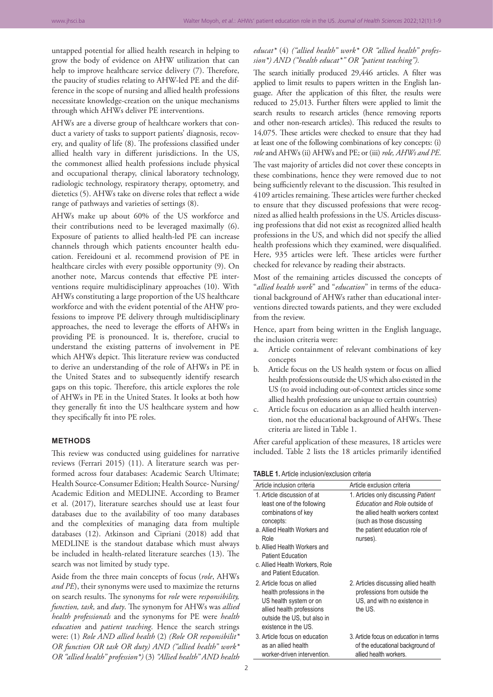untapped potential for allied health research in helping to grow the body of evidence on AHW utilization that can help to improve healthcare service delivery (7). Therefore, the paucity of studies relating to AHW-led PE and the difference in the scope of nursing and allied health professions necessitate knowledge-creation on the unique mechanisms through which AHWs deliver PE interventions.

AHWs are a diverse group of healthcare workers that conduct a variety of tasks to support patients' diagnosis, recovery, and quality of life (8). The professions classified under allied health vary in different jurisdictions. In the US, the commonest allied health professions include physical and occupational therapy, clinical laboratory technology, radiologic technology, respiratory therapy, optometry, and dietetics (5). AHWs take on diverse roles that reflect a wide range of pathways and varieties of settings (8).

AHWs make up about 60% of the US workforce and their contributions need to be leveraged maximally (6). Exposure of patients to allied health-led PE can increase channels through which patients encounter health education. Fereidouni et al. recommend provision of PE in healthcare circles with every possible opportunity (9). On another note, Marcus contends that effective PE interventions require multidisciplinary approaches (10). With AHWs constituting a large proportion of the US healthcare workforce and with the evident potential of the AHW professions to improve PE delivery through multidisciplinary approaches, the need to leverage the efforts of AHWs in providing PE is pronounced. It is, therefore, crucial to understand the existing patterns of involvement in PE which AHWs depict. This literature review was conducted to derive an understanding of the role of AHWs in PE in the United States and to subsequently identify research gaps on this topic. Therefore, this article explores the role of AHWs in PE in the United States. It looks at both how they generally fit into the US healthcare system and how they specifically fit into PE roles.

## **METHODS**

This review was conducted using guidelines for narrative reviews (Ferrari 2015) (11). A literature search was performed across four databases: Academic Search Ultimate; Health Source-Consumer Edition; Health Source- Nursing/ Academic Edition and MEDLINE. According to Bramer et al. (2017), literature searches should use at least four databases due to the availability of too many databases and the complexities of managing data from multiple databases (12). Atkinson and Cipriani (2018) add that MEDLINE is the standout database which must always be included in health-related literature searches (13). The search was not limited by study type.

Aside from the three main concepts of focus (*role*, AHWs *and PE*), their synonyms were used to maximize the returns on search results. The synonyms for *role* were *responsibility, function, task,* and *duty*. The synonym for AHWs was *allied health professionals* and the synonyms for PE were *health education* and *patient teaching*. Hence the search strings were: (1) *Role AND allied health* (2) *(Role OR responsibilit\* OR function OR task OR duty) AND ("allied health" work\* OR "allied health" profession\*)* (3) *"Allied health" AND health* 

# *educat\** (4) *("allied health" work\* OR "allied health" profession\*) AND ("health educat\*" OR "patient teaching").*

The search initially produced 29,446 articles. A filter was applied to limit results to papers written in the English language. After the application of this filter, the results were reduced to 25,013. Further filters were applied to limit the search results to research articles (hence removing reports and other non-research articles). This reduced the results to 14,075. These articles were checked to ensure that they had at least one of the following combinations of key concepts: (i) *role* and AHWs (ii) AHWs and PE; or (iii) *role, AHWs and PE*.

The vast majority of articles did not cover these concepts in these combinations, hence they were removed due to not being sufficiently relevant to the discussion. This resulted in 4109 articles remaining. These articles were further checked to ensure that they discussed professions that were recognized as allied health professions in the US. Articles discussing professions that did not exist as recognized allied health professions in the US, and which did not specify the allied health professions which they examined, were disqualified. Here, 935 articles were left. These articles were further checked for relevance by reading their abstracts.

Most of the remaining articles discussed the concepts of "*allied health work*" and "*education*" in terms of the educational background of AHWs rather than educational interventions directed towards patients, and they were excluded from the review.

Hence, apart from being written in the English language, the inclusion criteria were:

- a. Article containment of relevant combinations of key concepts
- b. Article focus on the US health system or focus on allied health professions outside the US which also existed in the US (to avoid including out-of-context articles since some allied health professions are unique to certain countries)
- c. Article focus on education as an allied health intervention, not the educational background of AHWs. These criteria are listed in Table 1.

After careful application of these measures, 18 articles were included. Table 2 lists the 18 articles primarily identified

**TABLE 1.** Article inclusion/exclusion criteria

| Article inclusion criteria                                                                                                                                                                                                                                    | Article exclusion criteria                                                                                                                                                          |
|---------------------------------------------------------------------------------------------------------------------------------------------------------------------------------------------------------------------------------------------------------------|-------------------------------------------------------------------------------------------------------------------------------------------------------------------------------------|
| 1. Article discussion of at<br>least one of the following<br>combinations of key<br>concepts:<br>a. Allied Health Workers and<br>Role<br>b. Allied Health Workers and<br><b>Patient Education</b><br>c. Allied Health Workers, Role<br>and Patient Education. | 1. Articles only discussing Patient<br>Education and Role outside of<br>the allied health workers context<br>(such as those discussing<br>the patient education role of<br>nurses). |
| 2. Article focus on allied<br>health professions in the<br>US health system or on<br>allied health professions<br>outside the US, but also in<br>existence in the US.                                                                                         | 2. Articles discussing allied health<br>professions from outside the<br>US, and with no existence in<br>the US.                                                                     |
| 3. Article focus on education<br>as an allied health<br>worker-driven intervention.                                                                                                                                                                           | 3. Article focus on education in terms<br>of the educational background of<br>allied health workers.                                                                                |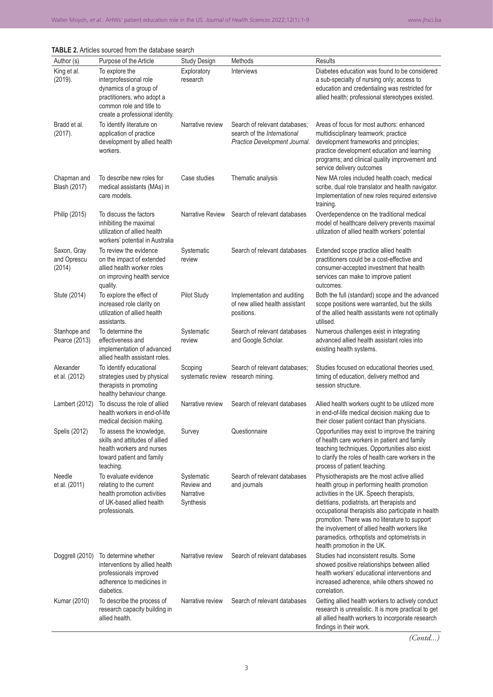| Author (s)                           | Purpose of the Article                                                                                                                                          | <b>Study Design</b>                                | Methods                                                                                       | Results                                                                                                                                                                                                                                                                                                                                                                                                                     |
|--------------------------------------|-----------------------------------------------------------------------------------------------------------------------------------------------------------------|----------------------------------------------------|-----------------------------------------------------------------------------------------------|-----------------------------------------------------------------------------------------------------------------------------------------------------------------------------------------------------------------------------------------------------------------------------------------------------------------------------------------------------------------------------------------------------------------------------|
| King et al.<br>(2019).               | To explore the<br>interprofessional role<br>dynamics of a group of<br>practitioners, who adopt a<br>common role and title to<br>create a professional identity. | Exploratory<br>research                            | <b>Interviews</b>                                                                             | Diabetes education was found to be considered<br>a sub-specialty of nursing only; access to<br>education and credentialing was restricted for<br>allied health; professional stereotypes existed.                                                                                                                                                                                                                           |
| Bradd et al.<br>(2017).              | To identify literature on<br>application of practice<br>development by allied health<br>workers.                                                                | Narrative review                                   | Search of relevant databases;<br>search of the International<br>Practice Development Journal. | Areas of focus for most authors: enhanced<br>multidisciplinary teamwork; practice<br>development frameworks and principles;<br>practice development education and learning<br>programs; and clinical quality improvement and<br>service delivery outcomes                                                                                                                                                                   |
| Chapman and<br>Blash (2017)          | To describe new roles for<br>medical assistants (MAs) in<br>care models.                                                                                        | Case studies                                       | Thematic analysis                                                                             | New MA roles included health coach, medical<br>scribe, dual role translator and health navigator.<br>Implementation of new roles required extensive<br>training.                                                                                                                                                                                                                                                            |
| Philip (2015)                        | To discuss the factors<br>inhibiting the maximal<br>utilization of allied health<br>workers' potential in Australia                                             | Narrative Review                                   | Search of relevant databases                                                                  | Overdependence on the traditional medical<br>model of healthcare delivery prevents maximal<br>utilization of allied health workers' potential                                                                                                                                                                                                                                                                               |
| Saxon, Gray<br>and Oprescu<br>(2014) | To review the evidence<br>on the impact of extended<br>allied health worker roles<br>on improving health service<br>quality.                                    | Systematic<br>review                               | Search of relevant databases                                                                  | Extended scope practice allied health<br>practitioners could be a cost-effective and<br>consumer-accepted investment that health<br>services can make to improve patient<br>outcomes.                                                                                                                                                                                                                                       |
| Stute (2014)                         | To explore the effect of<br>increased role clarity on<br>utilization of allied health<br>assistants.                                                            | <b>Pilot Study</b>                                 | Implementation and auditing<br>of new allied health assistant<br>positions.                   | Both the full (standard) scope and the advanced<br>scope positions were warranted, but the skills<br>of the allied health assistants were not optimally<br>utilised.                                                                                                                                                                                                                                                        |
| Stanhope and<br>Pearce (2013)        | To determine the<br>effectiveness and<br>implementation of advanced<br>allied health assistant roles.                                                           | Systematic<br>review                               | Search of relevant databases<br>and Google Scholar.                                           | Numerous challenges exist in integrating<br>advanced allied health assistant roles into<br>existing health systems.                                                                                                                                                                                                                                                                                                         |
| Alexander<br>et al. (2012)           | To identify educational<br>strategies used by physical<br>therapists in promoting<br>healthy behaviour change.                                                  | Scoping<br>systematic review                       | Search of relevant databases;<br>research mining.                                             | Studies focused on educational theories used,<br>timing of education, delivery method and<br>session structure.                                                                                                                                                                                                                                                                                                             |
| Lambert (2012)                       | To discuss the role of allied<br>health workers in end-of-life<br>medical decision making.                                                                      | Narrative review                                   | Search of relevant databases                                                                  | Allied health workers ought to be utilized more<br>in end-of-life medical decision making due to<br>their closer patient contact than physicians.                                                                                                                                                                                                                                                                           |
| Spelis (2012)                        | To assess the knowledge,<br>skills and attitudes of allied<br>health workers and nurses<br>toward patient and family<br>teaching.                               | Survey                                             | Questionnaire                                                                                 | Opportunities may exist to improve the training<br>of health care workers in patient and family<br>teaching techniques. Opportunities also exist<br>to clarify the roles of health care workers in the<br>process of patient teaching.                                                                                                                                                                                      |
| Needle<br>et al. (2011)              | To evaluate evidence<br>relating to the current<br>health promotion activities<br>of UK-based allied health<br>professionals.                                   | Systematic<br>Review and<br>Narrative<br>Synthesis | Search of relevant databases<br>and journals                                                  | Physiotherapists are the most active allied<br>health group in performing health promotion<br>activities in the UK. Speech therapists,<br>dietitians, podiatrists, art therapists and<br>occupational therapists also participate in health<br>promotion. There was no literature to support<br>the involvement of allied health workers like<br>paramedics, orthoptists and optometrists in<br>health promotion in the UK. |
| Doggrell (2010)                      | To determine whether<br>interventions by allied health<br>professionals improved<br>adherence to medicines in<br>diabetics.                                     | Narrative review                                   | Search of relevant databases                                                                  | Studies had inconsistent results. Some<br>showed positive relationships between allied<br>health workers' educational interventions and<br>increased adherence, while others showed no<br>correlation.                                                                                                                                                                                                                      |
| Kumar (2010)                         | To describe the process of<br>research capacity building in<br>allied health.                                                                                   | Narrative review                                   | Search of relevant databases                                                                  | Getting allied health workers to actively conduct<br>research is unrealistic. It is more practical to get<br>all allied health workers to incorporate research<br>findings in their work.                                                                                                                                                                                                                                   |

**TABLE 2.** Articles sourced from the database search

*(Contd...)*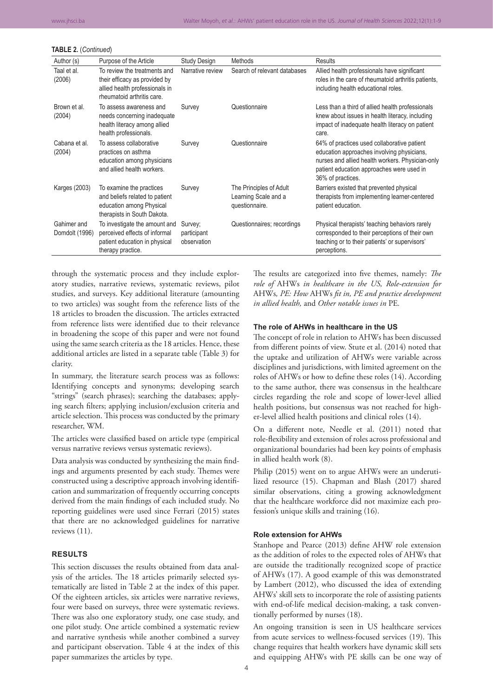#### **TABLE 2.** (*Continued*)

| Author (s)                    | Purpose of the Article                                                                                                        | Study Design                          | Methods                                                           | Results                                                                                                                                                                                                         |
|-------------------------------|-------------------------------------------------------------------------------------------------------------------------------|---------------------------------------|-------------------------------------------------------------------|-----------------------------------------------------------------------------------------------------------------------------------------------------------------------------------------------------------------|
| Taal et al.<br>(2006)         | To review the treatments and<br>their efficacy as provided by<br>allied health professionals in<br>rheumatoid arthritis care. | Narrative review                      | Search of relevant databases                                      | Allied health professionals have significant<br>roles in the care of rheumatoid arthritis patients,<br>including health educational roles.                                                                      |
| Brown et al.<br>(2004)        | To assess awareness and<br>needs concerning inadequate<br>health literacy among allied<br>health professionals.               | Survey                                | Questionnaire                                                     | Less than a third of allied health professionals<br>knew about issues in health literacy, including<br>impact of inadequate health literacy on patient<br>care.                                                 |
| Cabana et al.<br>(2004)       | To assess collaborative<br>practices on asthma<br>education among physicians<br>and allied health workers.                    | Survey                                | Questionnaire                                                     | 64% of practices used collaborative patient<br>education approaches involving physicians,<br>nurses and allied health workers. Physician-only<br>patient education approaches were used in<br>36% of practices. |
| Karges (2003)                 | To examine the practices<br>and beliefs related to patient<br>education among Physical<br>therapists in South Dakota.         | Survey                                | The Principles of Adult<br>Learning Scale and a<br>questionnaire. | Barriers existed that prevented physical<br>therapists from implementing learner-centered<br>patient education.                                                                                                 |
| Gahimer and<br>Domdolt (1996) | To investigate the amount and<br>perceived effects of informal<br>patient education in physical<br>therapy practice.          | Survey;<br>participant<br>observation | Questionnaires; recordings                                        | Physical therapists' teaching behaviors rarely<br>corresponded to their perceptions of their own<br>teaching or to their patients' or supervisors'<br>perceptions.                                              |

through the systematic process and they include exploratory studies, narrative reviews, systematic reviews, pilot studies, and surveys. Key additional literature (amounting to two articles) was sought from the reference lists of the 18 articles to broaden the discussion. The articles extracted from reference lists were identified due to their relevance in broadening the scope of this paper and were not found using the same search criteria as the 18 articles. Hence, these additional articles are listed in a separate table (Table 3) for clarity.

In summary, the literature search process was as follows: Identifying concepts and synonyms; developing search "strings" (search phrases); searching the databases; applying search filters; applying inclusion/exclusion criteria and article selection. This process was conducted by the primary researcher, WM.

The articles were classified based on article type (empirical versus narrative reviews versus systematic reviews).

Data analysis was conducted by synthesizing the main findings and arguments presented by each study. Themes were constructed using a descriptive approach involving identification and summarization of frequently occurring concepts derived from the main findings of each included study. No reporting guidelines were used since Ferrari (2015) states that there are no acknowledged guidelines for narrative reviews (11).

### **RESULTS**

This section discusses the results obtained from data analysis of the articles. The 18 articles primarily selected systematically are listed in Table 2 at the index of this paper. Of the eighteen articles, six articles were narrative reviews, four were based on surveys, three were systematic reviews. There was also one exploratory study, one case study, and one pilot study. One article combined a systematic review and narrative synthesis while another combined a survey and participant observation. Table 4 at the index of this paper summarizes the articles by type.

The results are categorized into five themes, namely: *The role of* AHWs *in healthcare in the US, Role-extension for*  AHWs*, PE: How* AHWs *fit in, PE and practice development in allied health,* and *Other notable issues in* PE*.*

#### **The role of AHWs in healthcare in the US**

The concept of role in relation to AHWs has been discussed from different points of view. Stute et al. (2014) noted that the uptake and utilization of AHWs were variable across disciplines and jurisdictions, with limited agreement on the roles of AHWs or how to define these roles (14). According to the same author, there was consensus in the healthcare circles regarding the role and scope of lower-level allied health positions, but consensus was not reached for higher-level allied health positions and clinical roles (14).

On a different note, Needle et al. (2011) noted that role-flexibility and extension of roles across professional and organizational boundaries had been key points of emphasis in allied health work (8).

Philip (2015) went on to argue AHWs were an underutilized resource (15). Chapman and Blash (2017) shared similar observations, citing a growing acknowledgment that the healthcare workforce did not maximize each profession's unique skills and training (16).

#### **Role extension for AHWs**

Stanhope and Pearce (2013) define AHW role extension as the addition of roles to the expected roles of AHWs that are outside the traditionally recognized scope of practice of AHWs (17). A good example of this was demonstrated by Lambert (2012), who discussed the idea of extending AHWs' skill sets to incorporate the role of assisting patients with end-of-life medical decision-making, a task conventionally performed by nurses (18).

An ongoing transition is seen in US healthcare services from acute services to wellness-focused services (19). This change requires that health workers have dynamic skill sets and equipping AHWs with PE skills can be one way of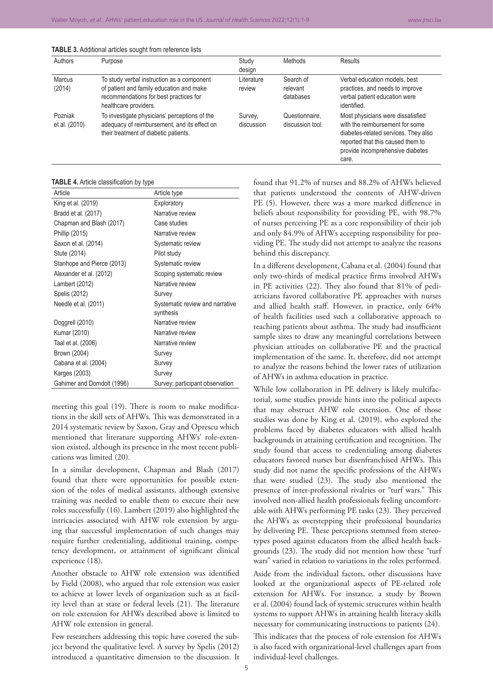| <b>TABLE 3.</b> Additional articles sought from reference lists |  |  |  |  |  |  |  |
|-----------------------------------------------------------------|--|--|--|--|--|--|--|
|-----------------------------------------------------------------|--|--|--|--|--|--|--|

| Authors                  | Purpose                                                                                                                                                   | Study<br>design       | Methods                            | <b>Results</b>                                                                                                                                                                                 |
|--------------------------|-----------------------------------------------------------------------------------------------------------------------------------------------------------|-----------------------|------------------------------------|------------------------------------------------------------------------------------------------------------------------------------------------------------------------------------------------|
| <b>Marcus</b><br>(2014)  | To study verbal instruction as a component<br>of patient and family education and make<br>recommendations for best practices for<br>healthcare providers. | Literature<br>review  | Search of<br>relevant<br>databases | Verbal education models, best<br>practices, and needs to improve<br>verbal patient education were<br>identified.                                                                               |
| Pozniak<br>et al. (2010) | To investigate physicians' perceptions of the<br>adequacy of reimbursement, and its effect on<br>their treatment of diabetic patients.                    | Survey,<br>discussion | Questionnaire,<br>discussion tool. | Most physicians were dissatisfied<br>with the reimbursement for some<br>diabetes-related services. They also<br>reported that this caused them to<br>provide incomprehensive diabetes<br>care. |

**TABLE 4.** Article classification by type

| Article                    | Article type                                 |
|----------------------------|----------------------------------------------|
| King et al. (2019)         | Exploratory                                  |
| Bradd et al. (2017)        | Narrative review                             |
| Chapman and Blash (2017)   | Case studies                                 |
| Phillip (2015)             | Narrative review                             |
| Saxon et al. (2014)        | Systematic review                            |
| Stute (2014)               | Pilot study                                  |
| Stanhope and Pierce (2013) | Systematic review                            |
| Alexander et al. (2012)    | Scoping systematic review                    |
| Lambert (2012)             | Narrative review                             |
| Spelis (2012)              | Survey                                       |
| Needle et al. (2011)       | Systematic review and narrative<br>synthesis |
| Doggrell (2010)            | Narrative review                             |
| Kumar (2010)               | Narrative review                             |
| Taal et al. (2006)         | Narrative review                             |
| Brown (2004)               | Survey                                       |
| Cabana et al. (2004)       | Survey                                       |
| Karges (2003)              | Survey                                       |
| Gahimer and Domdolt (1996) | Survey; participant observation              |

meeting this goal (19). There is room to make modifications in the skill sets of AHWs. This was demonstrated in a 2014 systematic review by Saxon, Gray and Oprescu which mentioned that literature supporting AHWs' role-extension existed, although its presence in the most recent publications was limited (20).

In a similar development, Chapman and Blash (2017) found that there were opportunities for possible extension of the roles of medical assistants, although extensive training was needed to enable them to execute their new roles successfully (16). Lambert (2019) also highlighted the intricacies associated with AHW role extension by arguing that successful implementation of such changes may require further credentialing, additional training, competency development, or attainment of significant clinical experience (18).

Another obstacle to AHW role extension was identified by Field (2008), who argued that role extension was easier to achieve at lower levels of organization such as at facility level than at state or federal levels (21). The literature on role extension for AHWs described above is limited to AHW role extension in general.

Few researchers addressing this topic have covered the subject beyond the qualitative level. A survey by Spelis (2012) introduced a quantitative dimension to the discussion. It

found that 91.2% of nurses and 88.2% of AHWs believed that patients understood the contents of AHW-driven PE (5). However, there was a more marked difference in beliefs about responsibility for providing PE, with 98.7% of nurses perceiving PE as a core responsibility of their job and only 84.9% of AHWs accepting responsibility for providing PE. The study did not attempt to analyze the reasons behind this discrepancy.

In a different development, Cabana et al. (2004) found that only two-thirds of medical practice firms involved AHWs in PE activities (22). They also found that 81% of pediatricians favored collaborative PE approaches with nurses and allied health staff. However, in practice, only 64% of health facilities used such a collaborative approach to teaching patients about asthma. The study had insufficient sample sizes to draw any meaningful correlations between physician attitudes on collaborative PE and the practical implementation of the same. It, therefore, did not attempt to analyze the reasons behind the lower rates of utilization of AHWs in asthma education in practice.

While low collaboration in PE delivery is likely multifactorial, some studies provide hints into the political aspects that may obstruct AHW role extension. One of those studies was done by King et al. (2019), who explored the problems faced by diabetes educators with allied health backgrounds in attaining certification and recognition. The study found that access to credentialing among diabetes educators favored nurses but disenfranchised AHWs. This study did not name the specific professions of the AHWs that were studied (23). The study also mentioned the presence of inter-professional rivalries or "turf wars." This involved non-allied health professionals feeling uncomfortable with AHWs performing PE tasks (23). They perceived the AHWs as overstepping their professional boundaries by delivering PE. These perceptions stemmed from stereotypes posed against educators from the allied health backgrounds (23). The study did not mention how these "turf wars" varied in relation to variations in the roles performed.

Aside from the individual factors, other discussions have looked at the organizational aspects of PE-related role extension for AHWs. For instance, a study by Brown et al. (2004) found lack of systemic structures within health systems to support AHWs in attaining health literacy skills necessary for communicating instructions to patients (24).

This indicates that the process of role extension for AHWs is also faced with organizational-level challenges apart from individual-level challenges.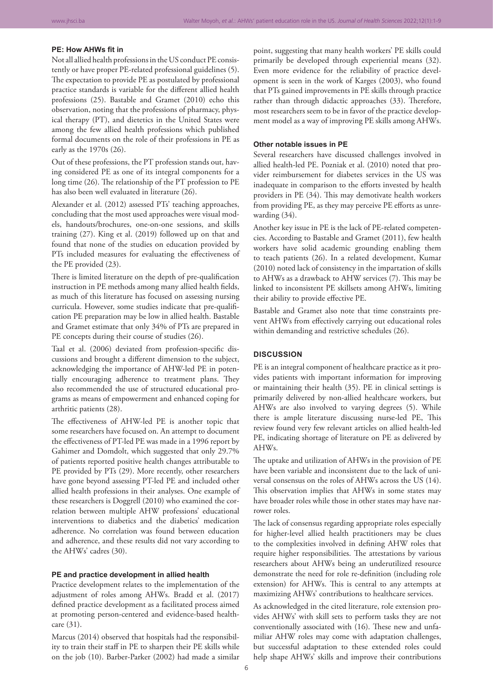## **PE: How AHWs fit in**

Not all allied health professions in the US conduct PE consistently or have proper PE-related professional guidelines (5). The expectation to provide PE as postulated by professional practice standards is variable for the different allied health professions (25). Bastable and Gramet (2010) echo this observation, noting that the professions of pharmacy, physical therapy (PT), and dietetics in the United States were among the few allied health professions which published formal documents on the role of their professions in PE as early as the 1970s (26).

Out of these professions, the PT profession stands out, having considered PE as one of its integral components for a long time (26). The relationship of the PT profession to PE has also been well evaluated in literature (26).

Alexander et al. (2012) assessed PTs' teaching approaches, concluding that the most used approaches were visual models, handouts/brochures, one-on-one sessions, and skills training (27). King et al. (2019) followed up on that and found that none of the studies on education provided by PTs included measures for evaluating the effectiveness of the PE provided (23).

There is limited literature on the depth of pre-qualification instruction in PE methods among many allied health fields, as much of this literature has focused on assessing nursing curricula. However, some studies indicate that pre-qualification PE preparation may be low in allied health. Bastable and Gramet estimate that only 34% of PTs are prepared in PE concepts during their course of studies (26).

Taal et al. (2006) deviated from profession-specific discussions and brought a different dimension to the subject, acknowledging the importance of AHW-led PE in potentially encouraging adherence to treatment plans. They also recommended the use of structured educational programs as means of empowerment and enhanced coping for arthritic patients (28).

The effectiveness of AHW-led PE is another topic that some researchers have focused on. An attempt to document the effectiveness of PT-led PE was made in a 1996 report by Gahimer and Domdolt, which suggested that only 29.7% of patients reported positive health changes attributable to PE provided by PTs (29). More recently, other researchers have gone beyond assessing PT-led PE and included other allied health professions in their analyses. One example of these researchers is Doggrell (2010) who examined the correlation between multiple AHW professions' educational interventions to diabetics and the diabetics' medication adherence. No correlation was found between education and adherence, and these results did not vary according to the AHWs' cadres (30).

## **PE and practice development in allied health**

Practice development relates to the implementation of the adjustment of roles among AHWs. Bradd et al. (2017) defined practice development as a facilitated process aimed at promoting person-centered and evidence-based healthcare (31).

Marcus (2014) observed that hospitals had the responsibility to train their staff in PE to sharpen their PE skills while on the job (10). Barber-Parker (2002) had made a similar

point, suggesting that many health workers' PE skills could primarily be developed through experiential means (32). Even more evidence for the reliability of practice development is seen in the work of Karges (2003), who found that PTs gained improvements in PE skills through practice rather than through didactic approaches (33). Therefore, most researchers seem to be in favor of the practice development model as a way of improving PE skills among AHWs.

#### **Other notable issues in PE**

Several researchers have discussed challenges involved in allied health-led PE. Pozniak et al. (2010) noted that provider reimbursement for diabetes services in the US was inadequate in comparison to the efforts invested by health providers in PE (34). This may demotivate health workers from providing PE, as they may perceive PE efforts as unrewarding (34).

Another key issue in PE is the lack of PE-related competencies. According to Bastable and Gramet (2011), few health workers have solid academic grounding enabling them to teach patients (26). In a related development, Kumar (2010) noted lack of consistency in the impartation of skills to AHWs as a drawback to AHW services (7). This may be linked to inconsistent PE skillsets among AHWs, limiting their ability to provide effective PE.

Bastable and Gramet also note that time constraints prevent AHWs from effectively carrying out educational roles within demanding and restrictive schedules (26).

#### **DISCUSSION**

PE is an integral component of healthcare practice as it provides patients with important information for improving or maintaining their health (35). PE in clinical settings is primarily delivered by non-allied healthcare workers, but AHWs are also involved to varying degrees (5). While there is ample literature discussing nurse-led PE, This review found very few relevant articles on allied health-led PE, indicating shortage of literature on PE as delivered by AHWs.

The uptake and utilization of AHWs in the provision of PE have been variable and inconsistent due to the lack of universal consensus on the roles of AHWs across the US (14). This observation implies that AHWs in some states may have broader roles while those in other states may have narrower roles.

The lack of consensus regarding appropriate roles especially for higher-level allied health practitioners may be clues to the complexities involved in defining AHW roles that require higher responsibilities. The attestations by various researchers about AHWs being an underutilized resource demonstrate the need for role re-definition (including role extension) for AHWs. This is central to any attempts at maximizing AHWs' contributions to healthcare services.

As acknowledged in the cited literature, role extension provides AHWs' with skill sets to perform tasks they are not conventionally associated with (16). These new and unfamiliar AHW roles may come with adaptation challenges, but successful adaptation to these extended roles could help shape AHWs' skills and improve their contributions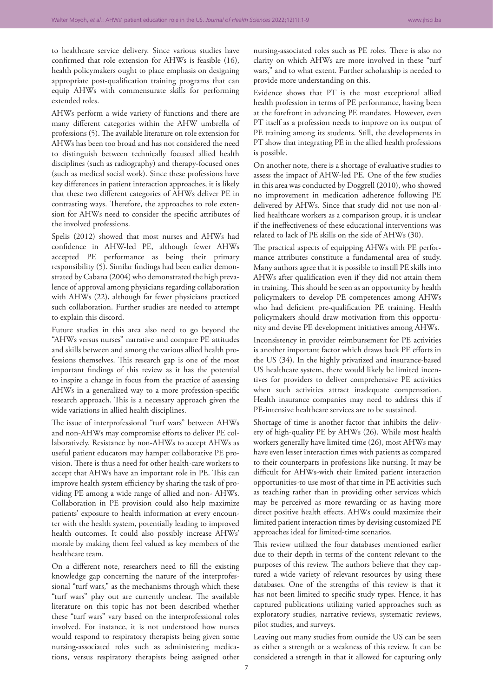to healthcare service delivery. Since various studies have confirmed that role extension for AHWs is feasible (16), health policymakers ought to place emphasis on designing appropriate post-qualification training programs that can equip AHWs with commensurate skills for performing extended roles.

AHWs perform a wide variety of functions and there are many different categories within the AHW umbrella of professions (5). The available literature on role extension for AHWs has been too broad and has not considered the need to distinguish between technically focused allied health disciplines (such as radiography) and therapy-focused ones (such as medical social work). Since these professions have key differences in patient interaction approaches, it is likely that these two different categories of AHWs deliver PE in contrasting ways. Therefore, the approaches to role extension for AHWs need to consider the specific attributes of the involved professions.

Spelis (2012) showed that most nurses and AHWs had confidence in AHW-led PE, although fewer AHWs accepted PE performance as being their primary responsibility (5). Similar findings had been earlier demonstrated by Cabana (2004) who demonstrated the high prevalence of approval among physicians regarding collaboration with AHWs (22), although far fewer physicians practiced such collaboration. Further studies are needed to attempt to explain this discord.

Future studies in this area also need to go beyond the "AHWs versus nurses" narrative and compare PE attitudes and skills between and among the various allied health professions themselves. This research gap is one of the most important findings of this review as it has the potential to inspire a change in focus from the practice of assessing AHWs in a generalized way to a more profession-specific research approach. This is a necessary approach given the wide variations in allied health disciplines.

The issue of interprofessional "turf wars" between AHWs and non-AHWs may compromise efforts to deliver PE collaboratively. Resistance by non-AHWs to accept AHWs as useful patient educators may hamper collaborative PE provision. There is thus a need for other health-care workers to accept that AHWs have an important role in PE. This can improve health system efficiency by sharing the task of providing PE among a wide range of allied and non- AHWs. Collaboration in PE provision could also help maximize patients' exposure to health information at every encounter with the health system, potentially leading to improved health outcomes. It could also possibly increase AHWs' morale by making them feel valued as key members of the healthcare team.

On a different note, researchers need to fill the existing knowledge gap concerning the nature of the interprofessional "turf wars," as the mechanisms through which these "turf wars" play out are currently unclear. The available literature on this topic has not been described whether these "turf wars" vary based on the interprofessional roles involved. For instance, it is not understood how nurses would respond to respiratory therapists being given some nursing-associated roles such as administering medications, versus respiratory therapists being assigned other

nursing-associated roles such as PE roles. There is also no clarity on which AHWs are more involved in these "turf wars," and to what extent. Further scholarship is needed to provide more understanding on this.

Evidence shows that PT is the most exceptional allied health profession in terms of PE performance, having been at the forefront in advancing PE mandates. However, even PT itself as a profession needs to improve on its output of PE training among its students. Still, the developments in PT show that integrating PE in the allied health professions is possible.

On another note, there is a shortage of evaluative studies to assess the impact of AHW-led PE. One of the few studies in this area was conducted by Doggrell (2010), who showed no improvement in medication adherence following PE delivered by AHWs. Since that study did not use non-allied healthcare workers as a comparison group, it is unclear if the ineffectiveness of these educational interventions was related to lack of PE skills on the side of AHWs (30).

The practical aspects of equipping AHWs with PE performance attributes constitute a fundamental area of study. Many authors agree that it is possible to instill PE skills into AHWs after qualification even if they did not attain them in training. This should be seen as an opportunity by health policymakers to develop PE competences among AHWs who had deficient pre-qualification PE training. Health policymakers should draw motivation from this opportunity and devise PE development initiatives among AHWs.

Inconsistency in provider reimbursement for PE activities is another important factor which draws back PE efforts in the US (34). In the highly privatized and insurance-based US healthcare system, there would likely be limited incentives for providers to deliver comprehensive PE activities when such activities attract inadequate compensation. Health insurance companies may need to address this if PE-intensive healthcare services are to be sustained.

Shortage of time is another factor that inhibits the delivery of high-quality PE by AHWs (26). While most health workers generally have limited time (26), most AHWs may have even lesser interaction times with patients as compared to their counterparts in professions like nursing. It may be difficult for AHWs-with their limited patient interaction opportunities-to use most of that time in PE activities such as teaching rather than in providing other services which may be perceived as more rewarding or as having more direct positive health effects. AHWs could maximize their limited patient interaction times by devising customized PE approaches ideal for limited-time scenarios.

This review utilized the four databases mentioned earlier due to their depth in terms of the content relevant to the purposes of this review. The authors believe that they captured a wide variety of relevant resources by using these databases. One of the strengths of this review is that it has not been limited to specific study types. Hence, it has captured publications utilizing varied approaches such as exploratory studies, narrative reviews, systematic reviews, pilot studies, and surveys.

Leaving out many studies from outside the US can be seen as either a strength or a weakness of this review. It can be considered a strength in that it allowed for capturing only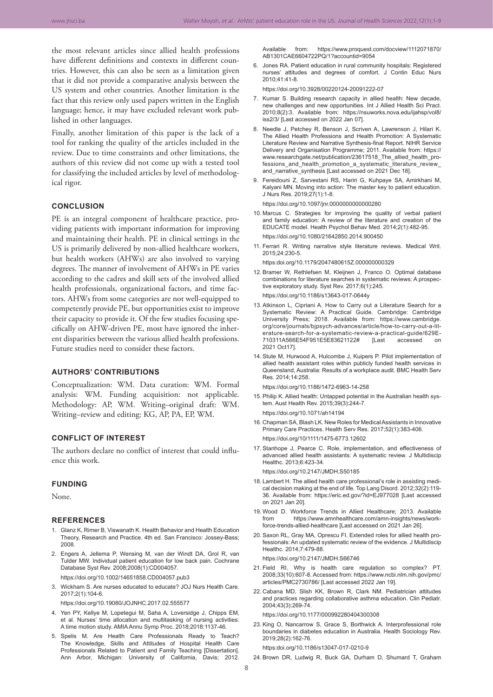the most relevant articles since allied health professions have different definitions and contexts in different countries. However, this can also be seen as a limitation given that it did not provide a comparative analysis between the US system and other countries. Another limitation is the fact that this review only used papers written in the English language; hence, it may have excluded relevant work published in other languages.

Finally, another limitation of this paper is the lack of a tool for ranking the quality of the articles included in the review. Due to time constraints and other limitations, the authors of this review did not come up with a tested tool for classifying the included articles by level of methodological rigor.

#### **CONCLUSION**

PE is an integral component of healthcare practice, providing patients with important information for improving and maintaining their health. PE in clinical settings in the US is primarily delivered by non-allied healthcare workers, but health workers (AHWs) are also involved to varying degrees. The manner of involvement of AHWs in PE varies according to the cadres and skill sets of the involved allied health professionals, organizational factors, and time factors. AHWs from some categories are not well-equipped to competently provide PE, but opportunities exist to improve their capacity to provide it. Of the few studies focusing specifically on AHW-driven PE, most have ignored the inherent disparities between the various allied health professions. Future studies need to consider these factors.

### **AUTHORS' CONTRIBUTIONS**

Conceptualization: WM. Data curation: WM. Formal analysis: WM. Funding acquisition: not applicable. Methodology: AP, WM. Writing–original draft: WM. Writing–review and editing: KG, AP, PA, EP, WM.

## **CONFLICT OF INTEREST**

The authors declare no conflict of interest that could influence this work.

#### **FUNDING**

None.

#### **REFERENCES**

- 1. Glanz K, Rimer B, Viswanath K. Health Behavior and Health Education Theory, Research and Practice. 4th ed. San Francisco: Jossey-Bass; 2008.
- 2. Engers A, Jellema P, Wensing M, van der Windt DA, Grol R, van Tulder MW. Individual patient education for low back pain. Cochrane Database Syst Rev. 2008;2008(1):CD004057.

https://doi.org/10.1002/14651858.CD004057.pub3

3. Wickham S. Are nurses educated to educate? JOJ Nurs Health Care. 2017;2(1):104-6.

https://doi.org/10.19080/JOJNHC.2017.02.555577

- 4. Yen PY, Kellye M, Lopetegui M, Saha A, Loversidge J, Chipps EM, et al. Nurses' time allocation and multitasking of nursing activities: A time motion study. AMIA Annu Symp Proc. 2018;2018:1137-46.
- 5. Spelis M. Are Health Care Professionals Ready to Teach? The Knowledge, Skills and Attitudes of Hospital Health Care Professionals Related to Patient and Family Teaching [Dissertation]. Ann Arbor, Michigan: University of California, Davis; 2012.

Available from: https://www.proquest.com/docview/1112071870/ AB1301CAE6604722PQ/1?accountid=9054

6. Jones RA. Patient education in rural community hospitals: Registered nurses' attitudes and degrees of comfort. J Contin Educ Nurs 2010;41:41-8.

https://doi.org/10.3928/00220124-20091222-07

- 7. Kumar S. Building research capacity in allied health: New decade, new challenges and new opportunities. Int J Allied Health Sci Pract. 2010;8(2):3. Available from: https://nsuworks.nova.edu/ijahsp/vol8/ iss2/3/ [Last accessed on 2022 Jan 07].
- 8. Needle J, Petchey R, Benson J, Scriven A, Lawrenson J, Hilari K. The Allied Health Professions and Health Promotion: A Systematic Literature Review and Narrative Synthesis-final Report. NIHR Service Delivery and Organisation Programme; 2011. Available from: https:// www.researchgate.net/publication/23617518\_The\_allied\_health\_professions\_and\_health\_promotion\_a\_systematic\_literature\_review\_ and\_narrative\_synthesis [Last accessed on 2021 Dec 18].
- 9. Fereidouni Z, Sarvestani RS, Hariri G, Kuhpaye SA, Amirkhani M, Kalyani MN. Moving into action: The master key to patient education. J Nurs Res. 2019;27(1):1-8.

https://doi.org/10.1097/jnr.0000000000000280

- 10. Marcus C. Strategies for improving the quality of verbal patient and family education: A review of the literature and creation of the EDUCATE model. Health Psychol Behav Med. 2014;2(1):482-95. https://doi.org/10.1080/21642850.2014.900450
- 11. Ferrari R. Writing narrative style literature reviews. Medical Writ. 2015;24:230-5.

https:doi.org/10.1179/2047480615Z.000000000329

12. Bramer W, Rethlefsen M, Kleijnen J, Franco O. Optimal database combinations for literature searches in systematic reviews: A prospective exploratory study. Syst Rev. 2017;6(1):245.

https://doi.org/10.1186/s13643-017-0644y

- 13.Atkinson L, Cipriani A. How to Carry out a Literature Search for a Systematic Review: A Practical Guide. Cambridge: Cambridge University Press; 2018. Available from: https://www.cambridge. org/core/journals/bjpsych-advances/article/how-to-carry-out-a-literature-search-for-a-systematic-review-a-practical-guide/629E-<br>710311A566E54F951E5E83621122# [Last accessed on 710311A566E54F951E5E83621122# [Last accessed on 2021 Oct17].
- 14. Stute M, Hurwood A, Hulcombe J, Kuipers P. Pilot implementation of allied health assistant roles within publicly funded health services in Queensland, Australia: Results of a workplace audit. BMC Health Serv Res. 2014;14:258.

https://doi.org/10.1186/1472-6963-14-258

15. Philip K. Allied health: Untapped potential in the Australian health system. Aust Health Rev. 2015;39(3):244-7.

https://doi.org/10.1071/ah14194

- 16. Chapman SA, Blash LK. New Roles for Medical Assistants in Innovative Primary Care Practices. Health Serv Res. 2017;52(1):383-406. https://doi.org/10/1111/1475-6773.12602
- 17. Stanhope J, Pearce C. Role, implementation, and effectiveness of advanced allied health assistants: A systematic review. J Multidiscip Healthc. 2013;6:423-34.

https://doi.org/10.2147/JMDH.S50185

- 18. Lambert H. The allied health care professional's role in assisting medical decision making at the end of life. Top Lang Disord. 2012;32(2):119- 36. Available from: https://eric.ed.gov/?id=EJ977028 [Last accessed on 2021 Jan 20].
- 19. Wood D. Workforce Trends in Allied Healthcare; 2013. Available from https://www.amnhealthcare.com/amn-insights/news/workforce-trends-allied-healthcare [Last accessed on 2021 Jan 26].
- 20. Saxon RL, Gray MA, Oprescu FI. Extended roles for allied health professionals: An updated systematic review of the evidence. J Multidiscip Healthc. 2014;7:479-88.

https://doi.org/10.2147/JMDH.S66746

- 21. Field RI. Why is health care regulation so complex? PT. 2008;33(10):607-8. Accessed from: https://www.ncbi.nlm.nih.gov/pmc/ articles/PMC2730786/ [Last accessed 2022 Jan 19].
- 22. Cabana MD, Slish KK, Brown R, Clark NM. Pediatrician attitudes and practices regarding collaborative asthma education. Clin Pediatr. 2004;43(3):269-74.

https://doi.org/10.1177/000992280404300308

23. King O, Nancarrow S, Grace S, Borthwick A. Interprofessional role boundaries in diabetes education in Australia. Health Sociology Rev. 2019;28(2):162-76.

https:doi.org/10.1186/s13047-017-0210-9

24. Brown DR, Ludwig R, Buck GA, Durham D, Shumard T, Graham